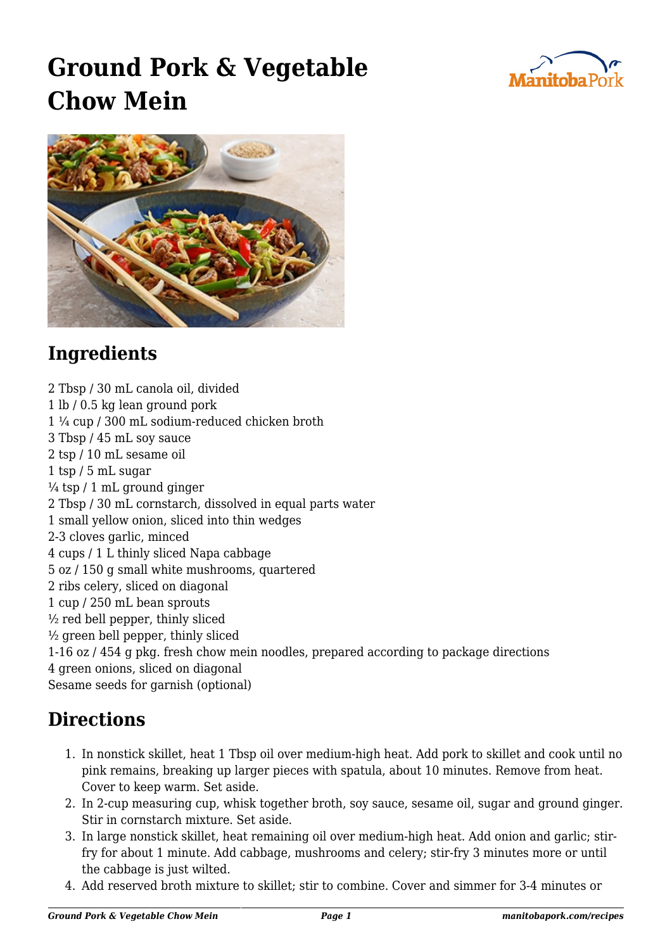

## **Ground Pork & Vegetable Chow Mein**



## **Ingredients**

2 Tbsp / 30 mL canola oil, divided 1 lb / 0.5 kg lean ground pork 1 ¼ cup / 300 mL sodium-reduced chicken broth 3 Tbsp / 45 mL soy sauce 2 tsp / 10 mL sesame oil 1 tsp / 5 mL sugar  $\frac{1}{4}$  tsp / 1 mL ground ginger 2 Tbsp / 30 mL cornstarch, dissolved in equal parts water 1 small yellow onion, sliced into thin wedges 2-3 cloves garlic, minced 4 cups / 1 L thinly sliced Napa cabbage 5 oz / 150 g small white mushrooms, quartered 2 ribs celery, sliced on diagonal 1 cup / 250 mL bean sprouts  $\frac{1}{2}$  red bell pepper, thinly sliced  $\frac{1}{2}$  green bell pepper, thinly sliced 1-16 oz / 454 g pkg. fresh chow mein noodles, prepared according to package directions 4 green onions, sliced on diagonal Sesame seeds for garnish (optional)

## **Directions**

- 1. In nonstick skillet, heat 1 Tbsp oil over medium-high heat. Add pork to skillet and cook until no pink remains, breaking up larger pieces with spatula, about 10 minutes. Remove from heat. Cover to keep warm. Set aside.
- 2. In 2-cup measuring cup, whisk together broth, soy sauce, sesame oil, sugar and ground ginger. Stir in cornstarch mixture. Set aside.
- 3. In large nonstick skillet, heat remaining oil over medium-high heat. Add onion and garlic; stirfry for about 1 minute. Add cabbage, mushrooms and celery; stir-fry 3 minutes more or until the cabbage is just wilted.
- 4. Add reserved broth mixture to skillet; stir to combine. Cover and simmer for 3-4 minutes or